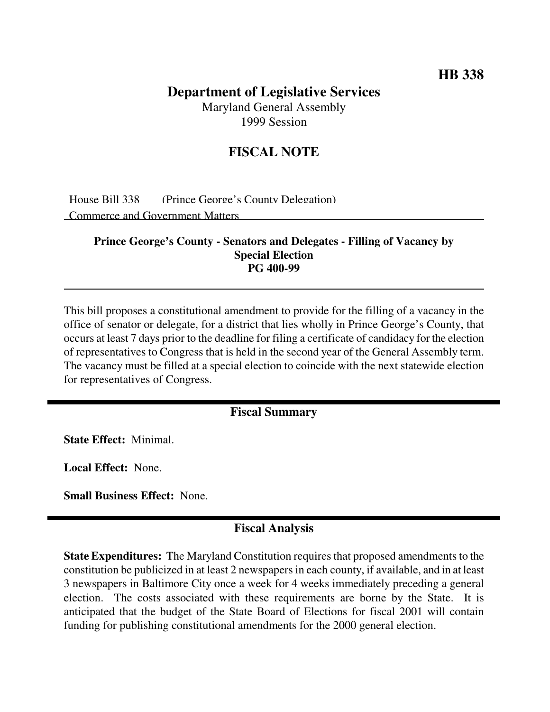## **HB 338**

## **Department of Legislative Services**

Maryland General Assembly 1999 Session

## **FISCAL NOTE**

House Bill 338 (Prince George's County Delegation) Commerce and Government Matters

#### **Prince George's County - Senators and Delegates - Filling of Vacancy by Special Election PG 400-99**

This bill proposes a constitutional amendment to provide for the filling of a vacancy in the office of senator or delegate, for a district that lies wholly in Prince George's County, that occurs at least 7 days prior to the deadline for filing a certificate of candidacy for the election of representatives to Congress that is held in the second year of the General Assembly term. The vacancy must be filled at a special election to coincide with the next statewide election for representatives of Congress.

#### **Fiscal Summary**

**State Effect:** Minimal.

**Local Effect:** None.

**Small Business Effect:** None.

### **Fiscal Analysis**

**State Expenditures:** The Maryland Constitution requires that proposed amendments to the constitution be publicized in at least 2 newspapers in each county, if available, and in at least 3 newspapers in Baltimore City once a week for 4 weeks immediately preceding a general election. The costs associated with these requirements are borne by the State. It is anticipated that the budget of the State Board of Elections for fiscal 2001 will contain funding for publishing constitutional amendments for the 2000 general election.